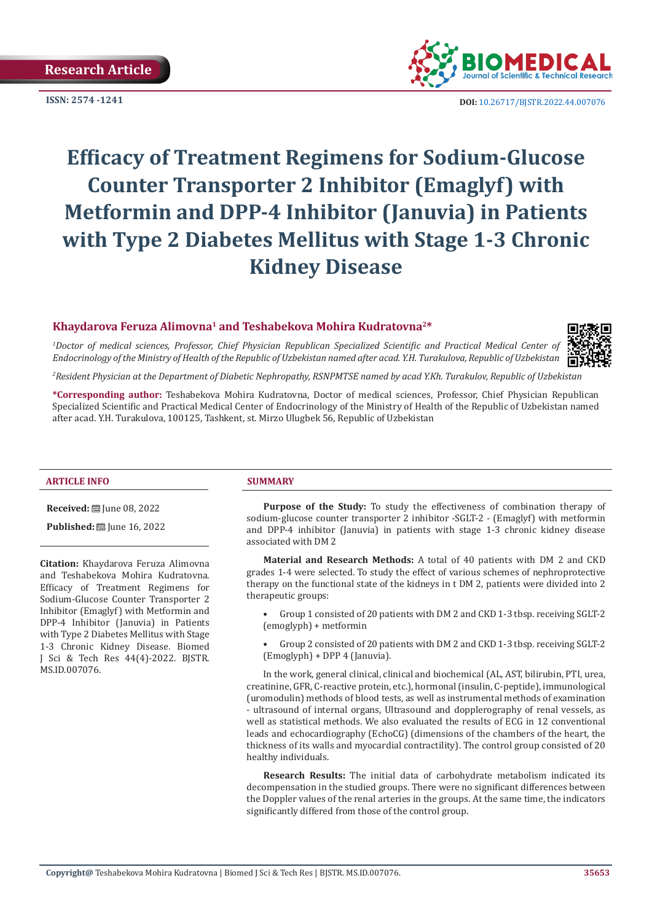**Research Article** 



**ISSN: 2574 -1241 DOI:** [10.26717/BJSTR.2022.44.007076](https://dx.doi.org/10.26717/BJSTR.2022.44.007076)

# **Efficacy of Treatment Regimens for Sodium-Glucose Counter Transporter 2 Inhibitor (Emaglyf) with Metformin and DPP-4 Inhibitor (Januvia) in Patients with Type 2 Diabetes Mellitus with Stage 1-3 Chronic Kidney Disease**

## **Khaydarova Feruza Alimovna<sup>1</sup> and Teshabekova Mohira Kudratovna2\***

*2 Resident Physician at the Department of Diabetic Nephropathy, RSNPMTSE named by acad Y.Kh. Turakulov, Republic of Uzbekistan*

*1 Doctor of medical sciences, Professor, Chief Physician Republican Specialized Scientific and Practical Medical Center of Endocrinology of the Ministry of Health of the Republic of Uzbekistan named after acad. Y.H. Turakulova, Republic of Uzbekistan*

**\*Corresponding author:** Teshabekova Mohira Kudratovna, Doctor of medical sciences, Professor, Chief Physician Republican Specialized Scientific and Practical Medical Center of Endocrinology of the Ministry of Health of the Republic of Uzbekistan named after acad. Y.H. Turakulova, 100125, Tashkent, st. Mirzo Ulugbek 56, Republic of Uzbekistan

#### **ARTICLE INFO SUMMARY**

**Received:** June 08, 2022

**Published:** ■ June 16, 2022

**Citation:** Khaydarova Feruza Alimovna and Teshabekova Mohira Kudratovna. Efficacy of Treatment Regimens for Sodium-Glucose Counter Transporter 2 Inhibitor (Emaglyf) with Metformin and DPP-4 Inhibitor (Januvia) in Patients with Type 2 Diabetes Mellitus with Stage 1-3 Chronic Kidney Disease. Biomed J Sci & Tech Res 44(4)-2022. BJSTR. MS.ID.007076.

**Purpose of the Study:** To study the effectiveness of combination therapy of sodium-glucose counter transporter 2 inhibitor -SGLT-2 - (Emaglyf) with metformin and DPP-4 inhibitor (Januvia) in patients with stage 1-3 chronic kidney disease associated with DM 2

**Material and Research Methods:** A total of 40 patients with DM 2 and CKD grades 1-4 were selected. To study the effect of various schemes of nephroprotective therapy on the functional state of the kidneys in t DM 2, patients were divided into 2 therapeutic groups:

• Group 1 consisted of 20 patients with DM 2 and CKD 1-3 tbsp. receiving SGLT-2 (emoglyph) + metformin

• Group 2 consisted of 20 patients with DM 2 and CKD 1-3 tbsp. receiving SGLT-2 (Emoglyph) + DPP 4 (Januvia).

In the work, general clinical, clinical and biochemical (AL, AST, bilirubin, PTI, urea, creatinine, GFR, C-reactive protein, etc.), hormonal (insulin, C-peptide), immunological (uromodulin) methods of blood tests, as well as instrumental methods of examination - ultrasound of internal organs, Ultrasound and dopplerography of renal vessels, as well as statistical methods. We also evaluated the results of ECG in 12 conventional leads and echocardiography (EchoCG) (dimensions of the chambers of the heart, the thickness of its walls and myocardial contractility). The control group consisted of 20 healthy individuals.

**Research Results:** The initial data of carbohydrate metabolism indicated its decompensation in the studied groups. There were no significant differences between the Doppler values of the renal arteries in the groups. At the same time, the indicators significantly differed from those of the control group.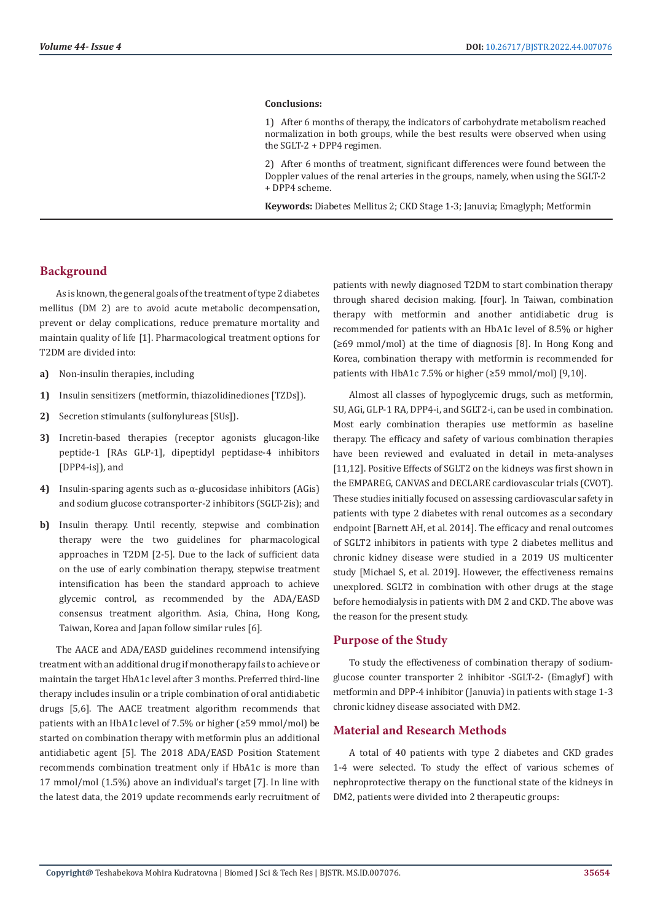#### **Conclusions:**

1) After 6 months of therapy, the indicators of carbohydrate metabolism reached normalization in both groups, while the best results were observed when using the SGLT-2 + DPP4 regimen.

2) After 6 months of treatment, significant differences were found between the Doppler values of the renal arteries in the groups, namely, when using the SGLT-2 + DPP4 scheme.

**Keywords:** Diabetes Mellitus 2; CKD Stage 1-3; Januvia; Emaglyph; Metformin

# **Background**

As is known, the general goals of the treatment of type 2 diabetes mellitus (DM 2) are to avoid acute metabolic decompensation, prevent or delay complications, reduce premature mortality and maintain quality of life [1]. Pharmacological treatment options for T2DM are divided into:

- **a)** Non-insulin therapies, including
- **1)** Insulin sensitizers (metformin, thiazolidinediones [TZDs]).
- **2)** Secretion stimulants (sulfonylureas [SUs]).
- **3)** Incretin-based therapies (receptor agonists glucagon-like peptide-1 [RAs GLP-1], dipeptidyl peptidase-4 inhibitors [DPP4-is]), and
- **4)** Insulin-sparing agents such as α-glucosidase inhibitors (AGis) and sodium glucose cotransporter-2 inhibitors (SGLT-2is); and
- **b)** Insulin therapy. Until recently, stepwise and combination therapy were the two guidelines for pharmacological approaches in T2DM [2-5]. Due to the lack of sufficient data on the use of early combination therapy, stepwise treatment intensification has been the standard approach to achieve glycemic control, as recommended by the ADA/EASD consensus treatment algorithm. Asia, China, Hong Kong, Taiwan, Korea and Japan follow similar rules [6].

The AACE and ADA/EASD guidelines recommend intensifying treatment with an additional drug if monotherapy fails to achieve or maintain the target HbA1c level after 3 months. Preferred third-line therapy includes insulin or a triple combination of oral antidiabetic drugs [5,6]. The AACE treatment algorithm recommends that patients with an HbA1c level of 7.5% or higher (≥59 mmol/mol) be started on combination therapy with metformin plus an additional antidiabetic agent [5]. The 2018 ADA/EASD Position Statement recommends combination treatment only if HbA1c is more than 17 mmol/mol (1.5%) above an individual's target [7]. In line with the latest data, the 2019 update recommends early recruitment of patients with newly diagnosed T2DM to start combination therapy through shared decision making. [four]. In Taiwan, combination therapy with metformin and another antidiabetic drug is recommended for patients with an HbA1c level of 8.5% or higher (≥69 mmol/mol) at the time of diagnosis [8]. In Hong Kong and Korea, combination therapy with metformin is recommended for patients with HbA1c 7.5% or higher (≥59 mmol/mol) [9,10].

Almost all classes of hypoglycemic drugs, such as metformin, SU, AGi, GLP-1 RA, DPP4-i, and SGLT2-i, can be used in combination. Most early combination therapies use metformin as baseline therapy. The efficacy and safety of various combination therapies have been reviewed and evaluated in detail in meta-analyses [11,12]. Positive Effects of SGLT2 on the kidneys was first shown in the EMPAREG, CANVAS and DECLARE cardiovascular trials (CVOT). These studies initially focused on assessing cardiovascular safety in patients with type 2 diabetes with renal outcomes as a secondary endpoint [Barnett AH, et al. 2014]. The efficacy and renal outcomes of SGLT2 inhibitors in patients with type 2 diabetes mellitus and chronic kidney disease were studied in a 2019 US multicenter study [Michael S, et al. 2019]. However, the effectiveness remains unexplored. SGLT2 in combination with other drugs at the stage before hemodialysis in patients with DM 2 and CKD. The above was the reason for the present study.

#### **Purpose of the Study**

To study the effectiveness of combination therapy of sodiumglucose counter transporter 2 inhibitor -SGLT-2- (Emaglyf) with metformin and DPP-4 inhibitor (Januvia) in patients with stage 1-3 chronic kidney disease associated with DM2.

#### **Material and Research Methods**

A total of 40 patients with type 2 diabetes and CKD grades 1-4 were selected. To study the effect of various schemes of nephroprotective therapy on the functional state of the kidneys in DM2, patients were divided into 2 therapeutic groups: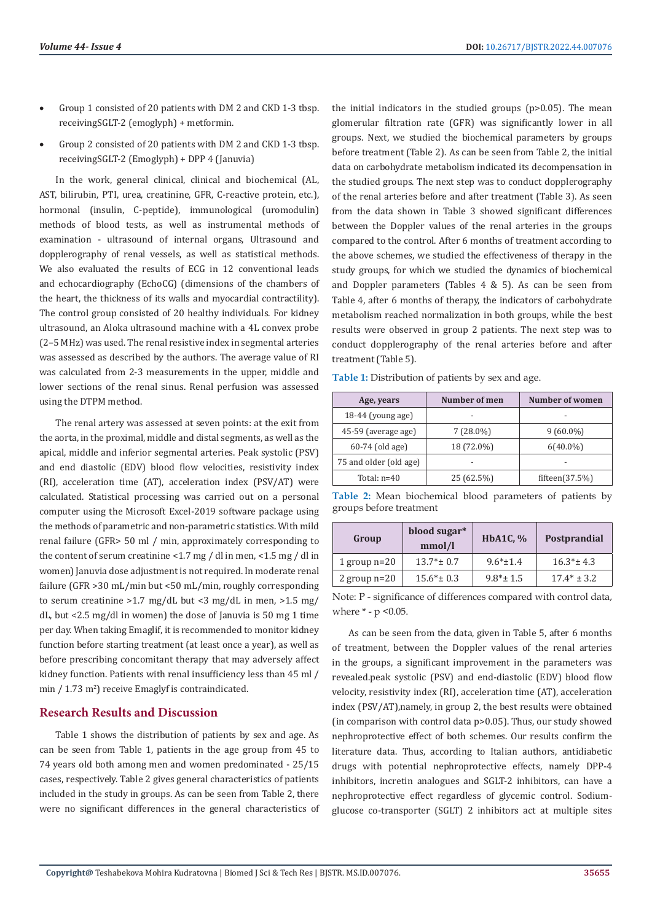- Group 1 consisted of 20 patients with DM 2 and CKD 1-3 tbsp. receivingSGLT-2 (emoglyph) + metformin.
- Group 2 consisted of 20 patients with DM 2 and CKD 1-3 tbsp. receivingSGLT-2 (Emoglyph) + DPP 4 (Januvia)

In the work, general clinical, clinical and biochemical (AL, AST, bilirubin, PTI, urea, creatinine, GFR, C-reactive protein, etc.), hormonal (insulin, C-peptide), immunological (uromodulin) methods of blood tests, as well as instrumental methods of examination - ultrasound of internal organs, Ultrasound and dopplerography of renal vessels, as well as statistical methods. We also evaluated the results of ECG in 12 conventional leads and echocardiography (EchoCG) (dimensions of the chambers of the heart, the thickness of its walls and myocardial contractility). The control group consisted of 20 healthy individuals. For kidney ultrasound, an Aloka ultrasound machine with a 4L convex probe (2–5 MHz) was used. The renal resistive index in segmental arteries was assessed as described by the authors. The average value of RI was calculated from 2-3 measurements in the upper, middle and lower sections of the renal sinus. Renal perfusion was assessed using the DTPM method.

The renal artery was assessed at seven points: at the exit from the aorta, in the proximal, middle and distal segments, as well as the apical, middle and inferior segmental arteries. Peak systolic (PSV) and end diastolic (EDV) blood flow velocities, resistivity index (RI), acceleration time (AT), acceleration index (PSV/AT) were calculated. Statistical processing was carried out on a personal computer using the Microsoft Excel-2019 software package using the methods of parametric and non-parametric statistics. With mild renal failure (GFR> 50 ml / min, approximately corresponding to the content of serum creatinine <1.7 mg / dl in men, <1.5 mg / dl in women) Januvia dose adjustment is not required. In moderate renal failure (GFR >30 mL/min but <50 mL/min, roughly corresponding to serum creatinine >1.7 mg/dL but <3 mg/dL in men, >1.5 mg/ dL, but <2.5 mg/dl in women) the dose of Januvia is 50 mg 1 time per day. When taking Emaglif, it is recommended to monitor kidney function before starting treatment (at least once a year), as well as before prescribing concomitant therapy that may adversely affect kidney function. Patients with renal insufficiency less than 45 ml / min / 1.73 m<sup>2</sup> ) receive Emaglyf is contraindicated.

## **Research Results and Discussion**

Table 1 shows the distribution of patients by sex and age. As can be seen from Table 1, patients in the age group from 45 to 74 years old both among men and women predominated - 25/15 cases, respectively. Table 2 gives general characteristics of patients included in the study in groups. As can be seen from Table 2, there were no significant differences in the general characteristics of the initial indicators in the studied groups (p>0.05). The mean glomerular filtration rate (GFR) was significantly lower in all groups. Next, we studied the biochemical parameters by groups before treatment (Table 2). As can be seen from Table 2, the initial data on carbohydrate metabolism indicated its decompensation in the studied groups. The next step was to conduct dopplerography of the renal arteries before and after treatment (Table 3). As seen from the data shown in Table 3 showed significant differences between the Doppler values of the renal arteries in the groups compared to the control. After 6 months of treatment according to the above schemes, we studied the effectiveness of therapy in the study groups, for which we studied the dynamics of biochemical and Doppler parameters (Tables 4 & 5). As can be seen from Table 4, after 6 months of therapy, the indicators of carbohydrate metabolism reached normalization in both groups, while the best results were observed in group 2 patients. The next step was to conduct dopplerography of the renal arteries before and after treatment (Table 5).

**Table 1:** Distribution of patients by sex and age.

| Age, years             | Number of men | <b>Number of women</b> |  |
|------------------------|---------------|------------------------|--|
| $18-44$ (young age)    |               |                        |  |
| 45-59 (average age)    | $7(28.0\%)$   | $9(60.0\%)$            |  |
| 60-74 (old age)        | 18 (72.0%)    | $6(40.0\%)$            |  |
| 75 and older (old age) |               |                        |  |
| Total: $n=40$          | 25 (62.5%)    | fifteen $(37.5%)$      |  |

|  | Table 2: Mean biochemical blood parameters of patients by |  |  |  |
|--|-----------------------------------------------------------|--|--|--|
|  | groups before treatment                                   |  |  |  |

| Group          | blood sugar*<br>mmol/l | HbA1C, $%$     | Postprandial  |
|----------------|------------------------|----------------|---------------|
| 1 group $n=20$ | $13.7*$ ± 0.7          | $9.6*+1.4$     | $16.3*$ ± 4.3 |
| 2 group $n=20$ | $15.6* \pm 0.3$        | $9.8* \pm 1.5$ | $17.4* + 3.2$ |

Note: P - significance of differences compared with control data, where \* - p <0.05.

As can be seen from the data, given in Table 5, after 6 months of treatment, between the Doppler values of the renal arteries in the groups, a significant improvement in the parameters was revealed.peak systolic (PSV) and end-diastolic (EDV) blood flow velocity, resistivity index (RI), acceleration time (AT), acceleration index (PSV/AT),namely, in group 2, the best results were obtained (in comparison with control data p>0.05). Thus, our study showed nephroprotective effect of both schemes. Our results confirm the literature data. Thus, according to Italian authors, antidiabetic drugs with potential nephroprotective effects, namely DPP-4 inhibitors, incretin analogues and SGLT-2 inhibitors, can have a nephroprotective effect regardless of glycemic control. Sodiumglucose co-transporter (SGLT) 2 inhibitors act at multiple sites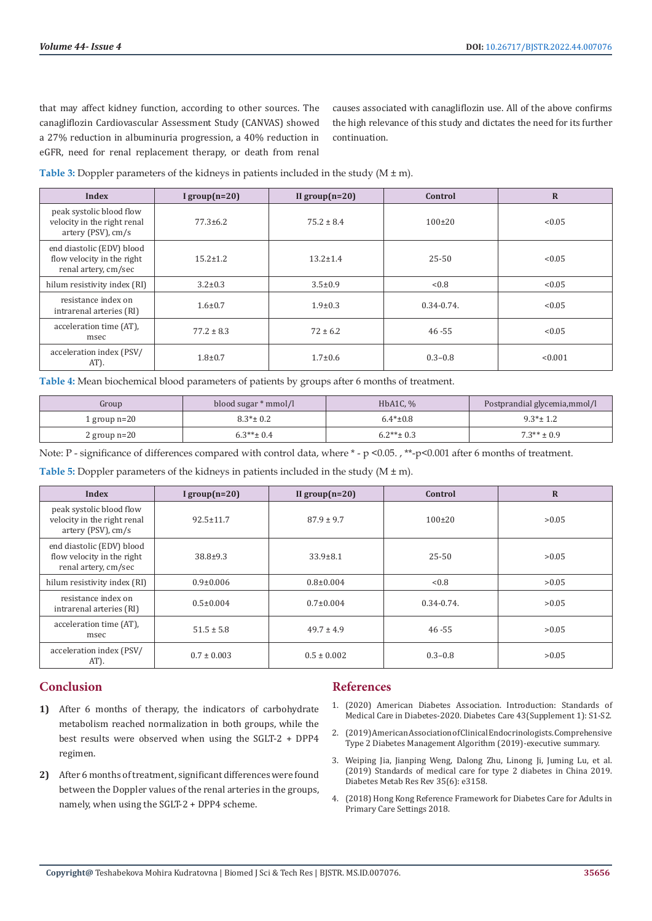that may affect kidney function, according to other sources. The canagliflozin Cardiovascular Assessment Study (CANVAS) showed a 27% reduction in albuminuria progression, a 40% reduction in eGFR, need for renal replacement therapy, or death from renal

causes associated with canagliflozin use. All of the above confirms the high relevance of this study and dictates the need for its further continuation.

| Table 3: Doppler parameters of the kidneys in patients included in the study $(M \pm m)$ . |  |
|--------------------------------------------------------------------------------------------|--|
|--------------------------------------------------------------------------------------------|--|

| <b>Index</b>                                                                    | I group $(n=20)$ | II group $(n=20)$ | Control         | $\overline{\mathbf{R}}$ |
|---------------------------------------------------------------------------------|------------------|-------------------|-----------------|-------------------------|
| peak systolic blood flow<br>velocity in the right renal<br>artery (PSV), $cm/s$ | $77.3 \pm 6.2$   | $75.2 \pm 8.4$    | $100 \pm 20$    | < 0.05                  |
| end diastolic (EDV) blood<br>flow velocity in the right<br>renal artery, cm/sec | $15.2 \pm 1.2$   | $13.2 \pm 1.4$    | $25 - 50$       | < 0.05                  |
| hilum resistivity index (RI)                                                    | $3.2 \pm 0.3$    | $3.5 \pm 0.9$     | < 0.8           | < 0.05                  |
| resistance index on<br>intrarenal arteries (RI)                                 | $1.6 \pm 0.7$    | $1.9 \pm 0.3$     | $0.34 - 0.74$ . | < 0.05                  |
| acceleration time (AT).<br>msec                                                 | $77.2 \pm 8.3$   | $72 \pm 6.2$      | $46 - 55$       | < 0.05                  |
| acceleration index (PSV/<br>AT).                                                | $1.8 + 0.7$      | $1.7 \pm 0.6$     | $0.3 - 0.8$     | < 0.001                 |

**Table 4:** Mean biochemical blood parameters of patients by groups after 6 months of treatment.

| Group          | blood sugar * mmol/l | HbA1C, $\%$     | Postprandial glycemia, mmol/l |
|----------------|----------------------|-----------------|-------------------------------|
| 1 group $n=20$ | $8.3* \pm 0.2$       | $6.4* \pm 0.8$  | $9.3*$ ± 1.2                  |
| 2 group $n=20$ | $6.3***$ ± 0.4       | $6.2***\pm 0.3$ | $7.3** \pm 0.9$               |

Note: P - significance of differences compared with control data, where \* - p <0.05. , \*\*-p<0.001 after 6 months of treatment.

**Table 5:** Doppler parameters of the kidneys in patients included in the study (M ± m).

| Index                                                                           | I group $(n=20)$ | II group $(n=20)$ | Control         | $\mathbf R$ |
|---------------------------------------------------------------------------------|------------------|-------------------|-----------------|-------------|
| peak systolic blood flow<br>velocity in the right renal<br>artery (PSV), cm/s   | $92.5 \pm 11.7$  | $87.9 \pm 9.7$    | $100 \pm 20$    | >0.05       |
| end diastolic (EDV) blood<br>flow velocity in the right<br>renal artery, cm/sec | $38.8 + 9.3$     | $33.9 \pm 8.1$    | $25 - 50$       | >0.05       |
| hilum resistivity index (RI)                                                    | $0.9 \pm 0.006$  | $0.8 \pm 0.004$   | <0.8            | >0.05       |
| resistance index on<br>intrarenal arteries (RI)                                 | $0.5 \pm 0.004$  | $0.7 \pm 0.004$   | $0.34 - 0.74$ . | >0.05       |
| acceleration time (AT).<br>msec                                                 | $51.5 \pm 5.8$   | $49.7 \pm 4.9$    | $46 - 55$       | >0.05       |
| acceleration index (PSV/<br>AT).                                                | $0.7 \pm 0.003$  | $0.5 \pm 0.002$   | $0.3 - 0.8$     | >0.05       |

# **Conclusion**

- **1)** After 6 months of therapy, the indicators of carbohydrate metabolism reached normalization in both groups, while the best results were observed when using the SGLT-2 + DPP4 regimen.
- **2)** After 6 months of treatment, significant differences were found between the Doppler values of the renal arteries in the groups, namely, when using the SGLT-2 + DPP4 scheme.

# **References**

- 1. [\(2020\) American Diabetes Association. Introduction: Standards of](https://pubmed.ncbi.nlm.nih.gov/31862741/) [Medical Care in Diabetes-2020. Diabetes Care 43\(Supplement 1\): S1-S2.](https://pubmed.ncbi.nlm.nih.gov/31862741/)
- 2. [\(2019\) American Association of Clinical Endocrinologists. Comprehensive](https://www.aace.com/disease-state-resources/diabetes/clinical-practice-guidelines-treatment-algorithms/comprehensive.) [Type 2 Diabetes Management Algorithm \(2019\)-executive summary.](https://www.aace.com/disease-state-resources/diabetes/clinical-practice-guidelines-treatment-algorithms/comprehensive.)
- 3. [Weiping Jia, Jianping Weng, Dalong Zhu, Linong Ji, Juming Lu, et al.](https://pubmed.ncbi.nlm.nih.gov/30908791/) [\(2019\) Standards of medical care for type 2 diabetes in China 2019.](https://pubmed.ncbi.nlm.nih.gov/30908791/) [Diabetes Metab Res Rev 35\(6\): e3158.](https://pubmed.ncbi.nlm.nih.gov/30908791/)
- 4. [\(2018\) Hong Kong Reference Framework for Diabetes Care for Adults in](https://www.fhb.gov.hk/pho/english/resource/files/RF_DM_full.pdf.) [Primary Care Settings 2018.](https://www.fhb.gov.hk/pho/english/resource/files/RF_DM_full.pdf.)